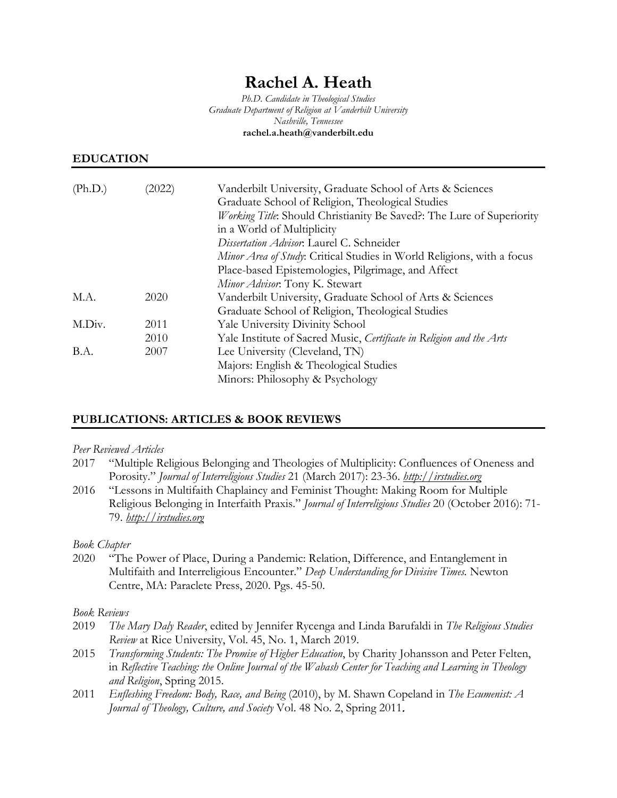# **Rachel A. Heath**

*Ph.D. Candidate in Theological Studies Graduate Department of Religion at Vanderbilt University Nashville, Tennessee* **rachel.a.heath@vanderbilt.edu**

# **EDUCATION**

| (Ph.D.) | (2022) | Vanderbilt University, Graduate School of Arts & Sciences<br>Graduate School of Religion, Theological Studies |
|---------|--------|---------------------------------------------------------------------------------------------------------------|
|         |        | Working Title: Should Christianity Be Saved?: The Lure of Superiority<br>in a World of Multiplicity           |
|         |        | Dissertation Advisor. Laurel C. Schneider                                                                     |
|         |        | Minor Area of Study: Critical Studies in World Religions, with a focus                                        |
|         |        | Place-based Epistemologies, Pilgrimage, and Affect                                                            |
|         |        | Minor Advisor. Tony K. Stewart                                                                                |
| M.A.    | 2020   | Vanderbilt University, Graduate School of Arts & Sciences                                                     |
|         |        | Graduate School of Religion, Theological Studies                                                              |
| M.Div.  | 2011   | Yale University Divinity School                                                                               |
|         | 2010   | Yale Institute of Sacred Music, Certificate in Religion and the Arts                                          |
| B.A.    | 2007   | Lee University (Cleveland, TN)                                                                                |
|         |        | Majors: English & Theological Studies                                                                         |
|         |        | Minors: Philosophy & Psychology                                                                               |

# **PUBLICATIONS: ARTICLES & BOOK REVIEWS**

#### *Peer Reviewed Articles*

2017 "Multiple Religious Belonging and Theologies of Multiplicity: Confluences of Oneness and Porosity." *Journal of Interreligious Studies* 21 (March 2017): 23-36. *[http://irstudies.org](http://irstudies.org/)*

2016 "Lessons in Multifaith Chaplaincy and Feminist Thought: Making Room for Multiple Religious Belonging in Interfaith Praxis." *Journal of Interreligious Studies* 20 (October 2016): 71- 79. *[http://irstudies.org](http://irstudies.org/)*

# *Book Chapter*

2020 "The Power of Place, During a Pandemic: Relation, Difference, and Entanglement in Multifaith and Interreligious Encounter." *Deep Understanding for Divisive Times.* Newton Centre, MA: Paraclete Press, 2020. Pgs. 45-50.

#### *Book Reviews*

- 2019 *The Mary Daly Reader*, edited by Jennifer Rycenga and Linda Barufaldi in *The Religious Studies Review* at Rice University, Vol. 45, No. 1, March 2019.
- 2015 *Transforming Students: The Promise of Higher Education*, by Charity Johansson and Peter Felten, in *Reflective Teaching: the Online Journal of the Wabash Center for Teaching and Learning in Theology and Religion*, Spring 2015.
- 2011 *Enfleshing Freedom: Body, Race, and Being* (2010), by M. Shawn Copeland in *The Ecumenist: A Journal of Theology, Culture, and Society* Vol. 48 No. 2, Spring 2011.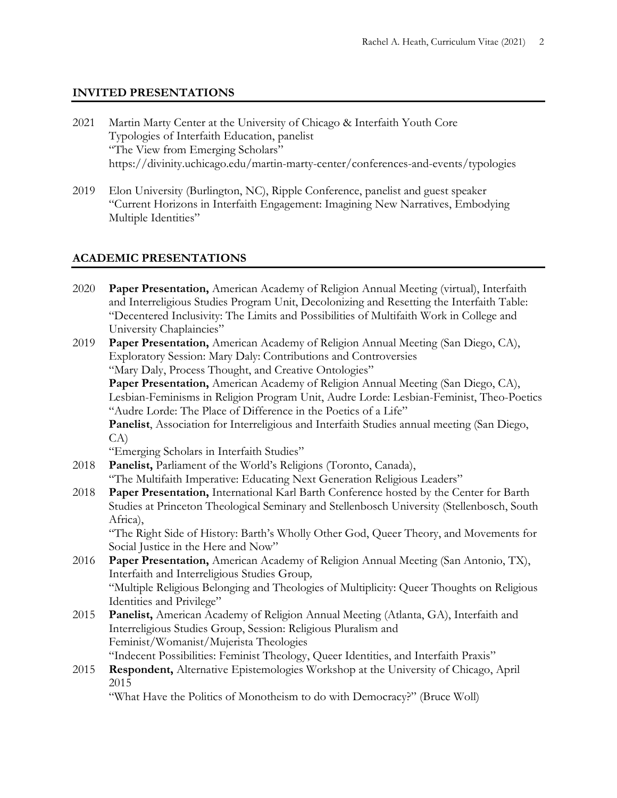# **INVITED PRESENTATIONS**

- 2021 Martin Marty Center at the University of Chicago & Interfaith Youth Core Typologies of Interfaith Education, panelist "The View from Emerging Scholars" https://divinity.uchicago.edu/martin-marty-center/conferences-and-events/typologies
- 2019 Elon University (Burlington, NC), Ripple Conference, panelist and guest speaker "Current Horizons in Interfaith Engagement: Imagining New Narratives, Embodying Multiple Identities"

# **ACADEMIC PRESENTATIONS**

| 2020 | Paper Presentation, American Academy of Religion Annual Meeting (virtual), Interfaith<br>and Interreligious Studies Program Unit, Decolonizing and Resetting the Interfaith Table:<br>"Decentered Inclusivity: The Limits and Possibilities of Multifaith Work in College and<br>University Chaplaincies" |
|------|-----------------------------------------------------------------------------------------------------------------------------------------------------------------------------------------------------------------------------------------------------------------------------------------------------------|
| 2019 | Paper Presentation, American Academy of Religion Annual Meeting (San Diego, CA),<br>Exploratory Session: Mary Daly: Contributions and Controversies<br>"Mary Daly, Process Thought, and Creative Ontologies"                                                                                              |
|      | Paper Presentation, American Academy of Religion Annual Meeting (San Diego, CA),                                                                                                                                                                                                                          |
|      | Lesbian-Feminisms in Religion Program Unit, Audre Lorde: Lesbian-Feminist, Theo-Poetics<br>"Audre Lorde: The Place of Difference in the Poetics of a Life"                                                                                                                                                |
|      | Panelist, Association for Interreligious and Interfaith Studies annual meeting (San Diego,                                                                                                                                                                                                                |
|      | CA)                                                                                                                                                                                                                                                                                                       |
|      | "Emerging Scholars in Interfaith Studies"                                                                                                                                                                                                                                                                 |
| 2018 | Panelist, Parliament of the World's Religions (Toronto, Canada),                                                                                                                                                                                                                                          |
|      | "The Multifaith Imperative: Educating Next Generation Religious Leaders"                                                                                                                                                                                                                                  |
| 2018 | Paper Presentation, International Karl Barth Conference hosted by the Center for Barth                                                                                                                                                                                                                    |
|      | Studies at Princeton Theological Seminary and Stellenbosch University (Stellenbosch, South                                                                                                                                                                                                                |
|      | Africa),                                                                                                                                                                                                                                                                                                  |
|      | "The Right Side of History: Barth's Wholly Other God, Queer Theory, and Movements for                                                                                                                                                                                                                     |
|      | Social Justice in the Here and Now"                                                                                                                                                                                                                                                                       |
| 2016 | Paper Presentation, American Academy of Religion Annual Meeting (San Antonio, TX),<br>Interfaith and Interreligious Studies Group,                                                                                                                                                                        |
|      | "Multiple Religious Belonging and Theologies of Multiplicity: Queer Thoughts on Religious                                                                                                                                                                                                                 |
|      | Identities and Privilege"                                                                                                                                                                                                                                                                                 |
| 2015 | Panelist, American Academy of Religion Annual Meeting (Atlanta, GA), Interfaith and                                                                                                                                                                                                                       |
|      | Interreligious Studies Group, Session: Religious Pluralism and                                                                                                                                                                                                                                            |
|      | Feminist/Womanist/Mujerista Theologies                                                                                                                                                                                                                                                                    |
|      | "Indecent Possibilities: Feminist Theology, Queer Identities, and Interfaith Praxis"                                                                                                                                                                                                                      |
| 2015 | Respondent, Alternative Epistemologies Workshop at the University of Chicago, April<br>2015                                                                                                                                                                                                               |
|      | "What Have the Politics of Monotheism to do with Democracy?" (Bruce Woll)                                                                                                                                                                                                                                 |
|      |                                                                                                                                                                                                                                                                                                           |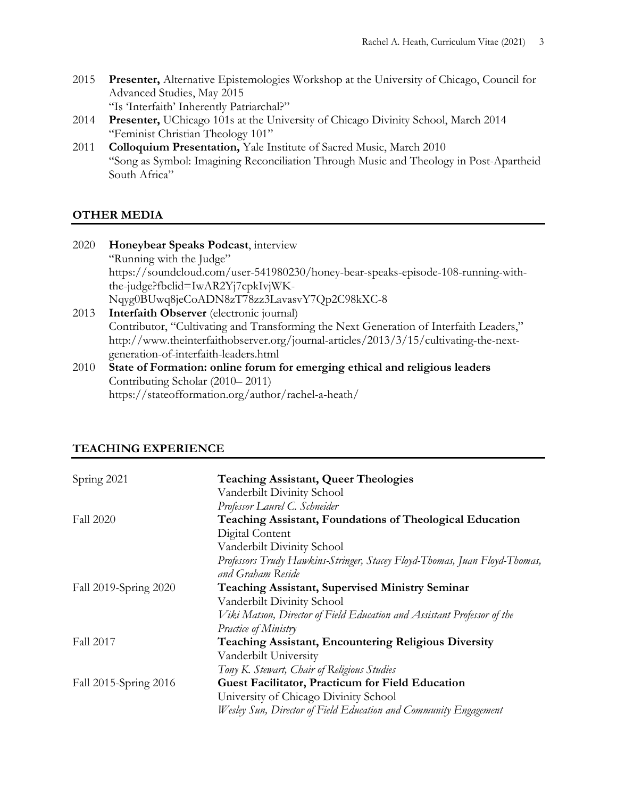- 2015 **Presenter,** Alternative Epistemologies Workshop at the University of Chicago, Council for Advanced Studies, May 2015 "Is 'Interfaith' Inherently Patriarchal?"
- 2014 **Presenter,** UChicago 101s at the University of Chicago Divinity School, March 2014 "Feminist Christian Theology 101"
- 2011 **Colloquium Presentation,** Yale Institute of Sacred Music, March 2010 "Song as Symbol: Imagining Reconciliation Through Music and Theology in Post-Apartheid South Africa"

# **OTHER MEDIA**

| 2020 | Honeybear Speaks Podcast, interview                                                    |
|------|----------------------------------------------------------------------------------------|
|      | "Running with the Judge"                                                               |
|      | https://soundcloud.com/user-541980230/honey-bear-speaks-episode-108-running-with-      |
|      | the-judge?fbclid=IwAR2Yj7cpkIvjWK-                                                     |
|      | Nqyg0BUwq8jeCoADN8zT78zz3LavasvY7Qp2C98kXC-8                                           |
| 2013 | Interfaith Observer (electronic journal)                                               |
|      | Contributor, "Cultivating and Transforming the Next Generation of Interfaith Leaders," |
|      | http://www.theinterfaithobserver.org/journal-articles/2013/3/15/cultivating-the-next-  |
|      | generation-of-interfaith-leaders.html                                                  |

2010 **State of Formation: online forum for emerging ethical and religious leaders** Contributing Scholar (2010– 2011) https://stateofformation.org/author/rachel-a-heath/

# **TEACHING EXPERIENCE**

| Spring 2021           | <b>Teaching Assistant, Queer Theologies</b>                                |
|-----------------------|----------------------------------------------------------------------------|
|                       | Vanderbilt Divinity School                                                 |
|                       | Professor Laurel C. Schneider                                              |
| <b>Fall 2020</b>      | <b>Teaching Assistant, Foundations of Theological Education</b>            |
|                       | Digital Content                                                            |
|                       | Vanderbilt Divinity School                                                 |
|                       | Professors Trudy Hawkins-Stringer, Stacey Floyd-Thomas, Juan Floyd-Thomas, |
|                       | and Graham Reside                                                          |
| Fall 2019-Spring 2020 | <b>Teaching Assistant, Supervised Ministry Seminar</b>                     |
|                       | Vanderbilt Divinity School                                                 |
|                       | Viki Matson, Director of Field Education and Assistant Professor of the    |
|                       | Practice of Ministry                                                       |
| Fall 2017             | <b>Teaching Assistant, Encountering Religious Diversity</b>                |
|                       | Vanderbilt University                                                      |
|                       | Tony K. Stewart, Chair of Religious Studies                                |
| Fall 2015-Spring 2016 | Guest Facilitator, Practicum for Field Education                           |
|                       | University of Chicago Divinity School                                      |
|                       | Wesley Sun, Director of Field Education and Community Engagement           |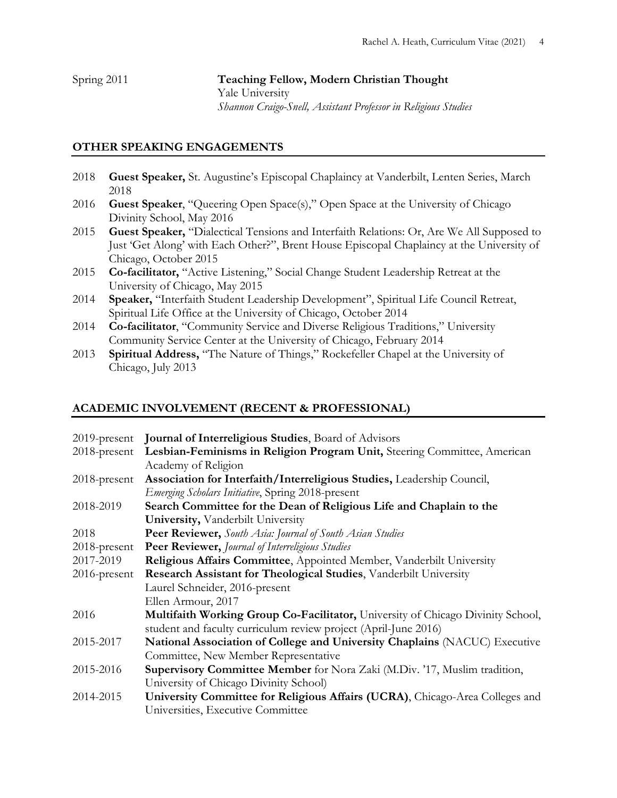# Spring 2011 **Teaching Fellow, Modern Christian Thought** Yale University *Shannon Craigo-Snell, Assistant Professor in Religious Studies*

# **OTHER SPEAKING ENGAGEMENTS**

- 2018 **Guest Speaker,** St. Augustine's Episcopal Chaplaincy at Vanderbilt, Lenten Series, March 2018
- 2016 **Guest Speaker**, "Queering Open Space(s)," Open Space at the University of Chicago Divinity School, May 2016
- 2015 **Guest Speaker,** "Dialectical Tensions and Interfaith Relations: Or, Are We All Supposed to Just 'Get Along' with Each Other?", Brent House Episcopal Chaplaincy at the University of Chicago, October 2015
- 2015 **Co-facilitator,** "Active Listening," Social Change Student Leadership Retreat at the University of Chicago, May 2015
- 2014 **Speaker,** "Interfaith Student Leadership Development", Spiritual Life Council Retreat, Spiritual Life Office at the University of Chicago, October 2014
- 2014 **Co-facilitator**, "Community Service and Diverse Religious Traditions," University Community Service Center at the University of Chicago, February 2014
- 2013 **Spiritual Address,** "The Nature of Things," Rockefeller Chapel at the University of Chicago, July 2013

# **ACADEMIC INVOLVEMENT (RECENT & PROFESSIONAL)**

|                 | 2019-present Journal of Interreligious Studies, Board of Advisors               |
|-----------------|---------------------------------------------------------------------------------|
| $2018$ -present | Lesbian-Feminisms in Religion Program Unit, Steering Committee, American        |
|                 | Academy of Religion                                                             |
| $2018$ -present | Association for Interfaith/Interreligious Studies, Leadership Council,          |
|                 | Emerging Scholars Initiative, Spring 2018-present                               |
| 2018-2019       | Search Committee for the Dean of Religious Life and Chaplain to the             |
|                 | University, Vanderbilt University                                               |
| 2018            | <b>Peer Reviewer,</b> South Asia: Journal of South Asian Studies                |
| 2018-present    | Peer Reviewer, Journal of Interreligious Studies                                |
| 2017-2019       | Religious Affairs Committee, Appointed Member, Vanderbilt University            |
| 2016-present    | Research Assistant for Theological Studies, Vanderbilt University               |
|                 | Laurel Schneider, 2016-present                                                  |
|                 | Ellen Armour, 2017                                                              |
| 2016            | Multifaith Working Group Co-Facilitator, University of Chicago Divinity School, |
|                 | student and faculty curriculum review project (April-June 2016)                 |
| 2015-2017       | National Association of College and University Chaplains (NACUC) Executive      |
|                 | Committee, New Member Representative                                            |
| 2015-2016       | Supervisory Committee Member for Nora Zaki (M.Div. '17, Muslim tradition,       |
|                 | University of Chicago Divinity School)                                          |
| 2014-2015       | University Committee for Religious Affairs (UCRA), Chicago-Area Colleges and    |
|                 | Universities, Executive Committee                                               |